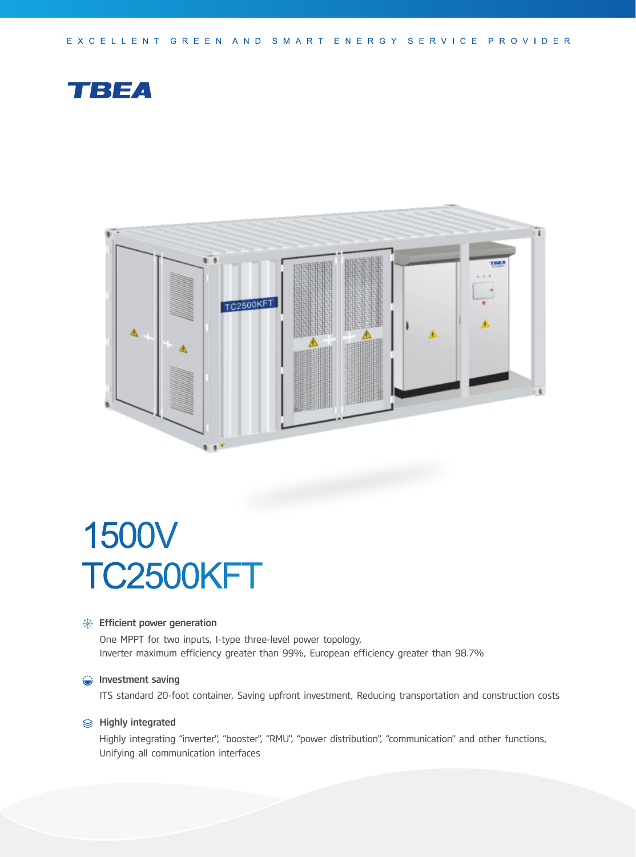EXCELLENT GREEN AND SMART ENERGY SERVICE PROVIDER





# 1500V TC2500KFT

#### **Solutions**: Efficient power generation

One MPPT for two inputs, I-type three-level power topology, Inverter maximum efficiency greater than 99%, European efficiency greater than 98.7%

#### **Investment saving**

ITS standard 20-foot container, Saving upfront investment, Reducing transportation and construction costs

## **<del>
</del>**  Highly integrated

Highly integrating "inverter", "booster", "RMU", "power distribution", "communication" and other functions, Unifying all communication interfaces